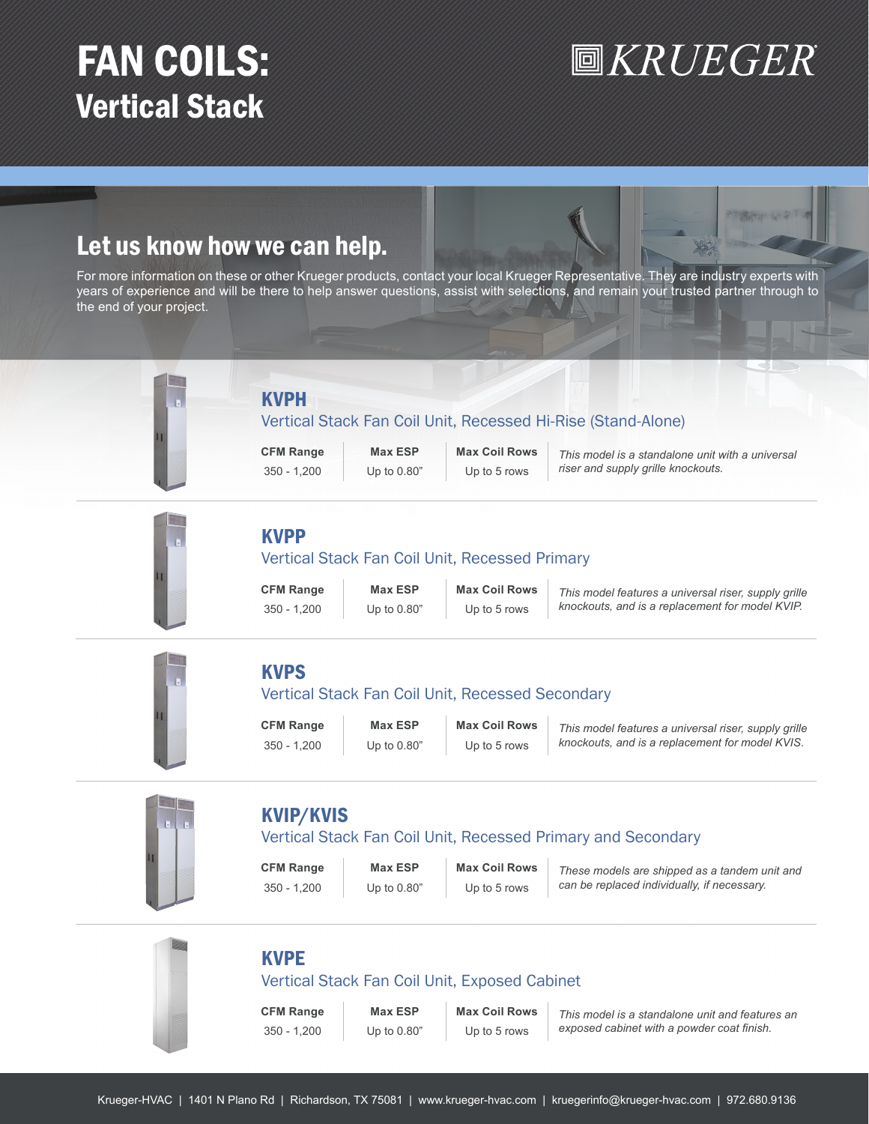# FAN COILS: Vertical Stack

# **圖KRUEGER**

Programar A-4

# Let us know how we can help.

For more information on these or other Krueger products, contact your local Krueger Representative. They are industry experts with years of experience and will be there to help answer questions, assist with selections, and remain your trusted partner through to the end of your project.



# **KVPF**

# Vertical Stack Fan Coil Unit, Exposed Cabinet

**CFM Range Max ESP Max Coil Rows** 350 - 1,200 Up to 0.80" Up to 5 rows

*This model is a standalone unit and features an exposed cabinet with a powder coat finish.*